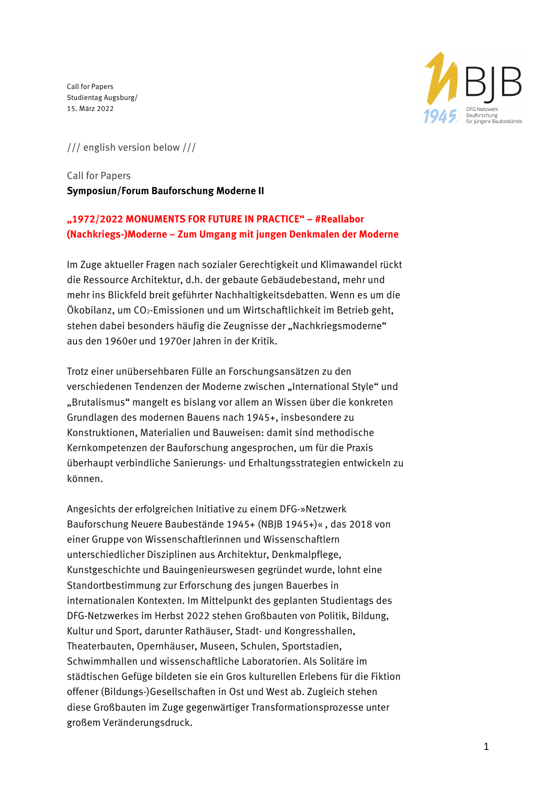

/// english version below ///

# Call for Papers **Symposiun/Forum Bauforschung Moderne II**

# **"1972/2022 MONUMENTS FOR FUTURE IN PRACTICE" – #Reallabor (Nachkriegs-)Moderne – Zum Umgang mit jungen Denkmalen der Moderne**

Im Zuge aktueller Fragen nach sozialer Gerechtigkeit und Klimawandel rückt die Ressource Architektur, d.h. der gebaute Gebäudebestand, mehr und mehr ins Blickfeld breit geführter Nachhaltigkeitsdebatten. Wenn es um die Ökobilanz, um CO2-Emissionen und um Wirtschaftlichkeit im Betrieb geht, stehen dabei besonders häufig die Zeugnisse der "Nachkriegsmoderne" aus den 1960er und 1970er Jahren in der Kritik.

Trotz einer unübersehbaren Fülle an Forschungsansätzen zu den verschiedenen Tendenzen der Moderne zwischen "International Style" und "Brutalismus" mangelt es bislang vor allem an Wissen über die konkreten Grundlagen des modernen Bauens nach 1945+, insbesondere zu Konstruktionen, Materialien und Bauweisen: damit sind methodische Kernkompetenzen der Bauforschung angesprochen, um für die Praxis überhaupt verbindliche Sanierungs- und Erhaltungsstrategien entwickeln zu können.

Angesichts der erfolgreichen Initiative zu einem DFG-»Netzwerk Bauforschung Neuere Baubestände 1945+ (NBJB 1945+)« , das 2018 von einer Gruppe von Wissenschaftlerinnen und Wissenschaftlern unterschiedlicher Disziplinen aus Architektur, Denkmalpflege, Kunstgeschichte und Bauingenieurswesen gegründet wurde, lohnt eine Standortbestimmung zur Erforschung des jungen Bauerbes in internationalen Kontexten. Im Mittelpunkt des geplanten Studientags des DFG-Netzwerkes im Herbst 2022 stehen Großbauten von Politik, Bildung, Kultur und Sport, darunter Rathäuser, Stadt- und Kongresshallen, Theaterbauten, Opernhäuser, Museen, Schulen, Sportstadien, Schwimmhallen und wissenschaftliche Laboratorien. Als Solitäre im städtischen Gefüge bildeten sie ein Gros kulturellen Erlebens für die Fiktion offener (Bildungs-)Gesellschaften in Ost und West ab. Zugleich stehen diese Großbauten im Zuge gegenwärtiger Transformationsprozesse unter großem Veränderungsdruck.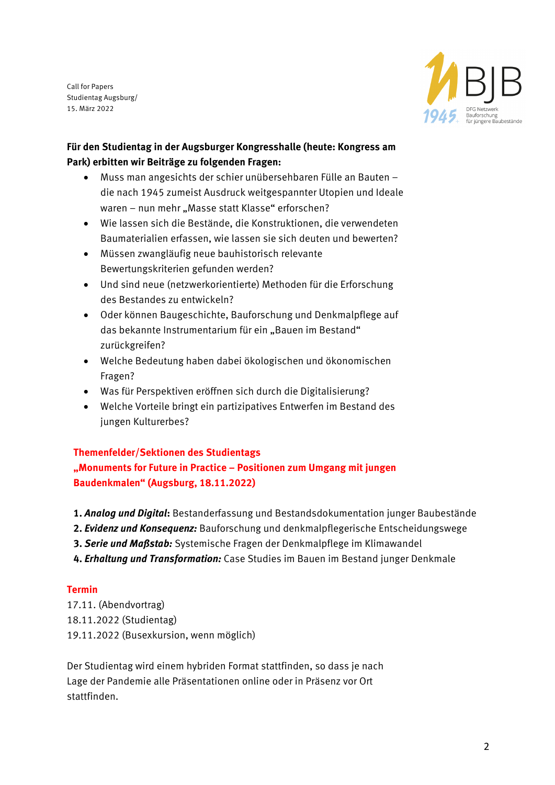

### **Für den Studientag in der Augsburger Kongresshalle (heute: Kongress am Park) erbitten wir Beiträge zu folgenden Fragen:**

- Muss man angesichts der schier unübersehbaren Fülle an Bauten die nach 1945 zumeist Ausdruck weitgespannter Utopien und Ideale waren – nun mehr "Masse statt Klasse" erforschen?
- Wie lassen sich die Bestände, die Konstruktionen, die verwendeten Baumaterialien erfassen, wie lassen sie sich deuten und bewerten?
- Müssen zwangläufig neue bauhistorisch relevante Bewertungskriterien gefunden werden?
- Und sind neue (netzwerkorientierte) Methoden für die Erforschung des Bestandes zu entwickeln?
- Oder können Baugeschichte, Bauforschung und Denkmalpflege auf das bekannte Instrumentarium für ein "Bauen im Bestand" zurückgreifen?
- Welche Bedeutung haben dabei ökologischen und ökonomischen Fragen?
- Was für Perspektiven eröffnen sich durch die Digitalisierung?
- Welche Vorteile bringt ein partizipatives Entwerfen im Bestand des jungen Kulturerbes?

### **Themenfelder/Sektionen des Studientags**

**"Monuments for Future in Practice – Positionen zum Umgang mit jungen Baudenkmalen" (Augsburg, 18.11.2022)**

- **1.** *Analog und Digital***:** Bestanderfassung und Bestandsdokumentation junger Baubestände
- **2.** *Evidenz und Konsequenz:* Bauforschung und denkmalpflegerische Entscheidungswege
- **3.** *Serie und Maßstab:* Systemische Fragen der Denkmalpflege im Klimawandel
- **4.** *Erhaltung und Transformation:* Case Studies im Bauen im Bestand junger Denkmale

### **Termin**

17.11. (Abendvortrag) 18.11.2022 (Studientag) 19.11.2022 (Busexkursion, wenn möglich)

Der Studientag wird einem hybriden Format stattfinden, so dass je nach Lage der Pandemie alle Präsentationen online oder in Präsenz vor Ort stattfinden.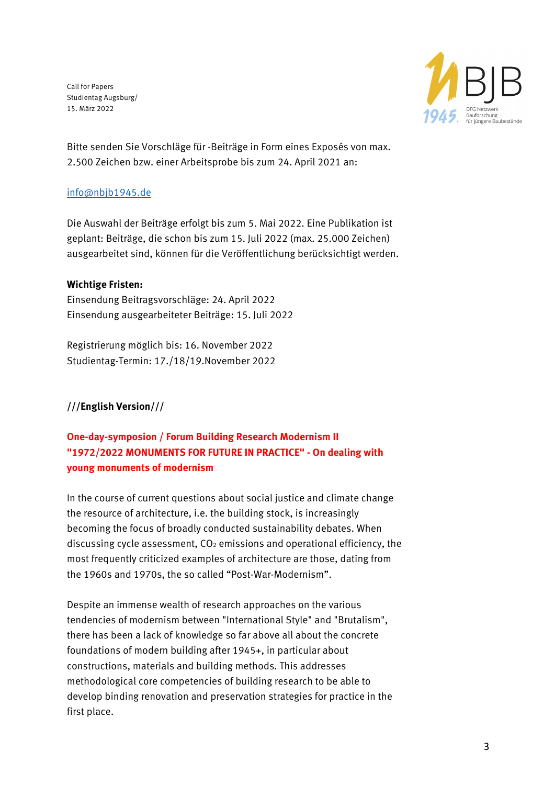

Bitte senden Sie Vorschläge für -Beiträge in Form eines Exposés von max. 2.500 Zeichen bzw. einer Arbeitsprobe bis zum 24. April 2021 an:

#### info@nbjb1945.de

Die Auswahl der Beiträge erfolgt bis zum 5. Mai 2022. Eine Publikation ist geplant: Beiträge, die schon bis zum 15. Juli 2022 (max. 25.000 Zeichen) ausgearbeitet sind, können für die Veröffentlichung berücksichtigt werden.

#### **Wichtige Fristen:**

Einsendung Beitragsvorschläge: 24. April 2022 Einsendung ausgearbeiteter Beiträge: 15. Juli 2022

Registrierung möglich bis: 16. November 2022 Studientag-Termin: 17./18/19.November 2022

### **///English Version///**

# **One-day-symposion / Forum Building Research Modernism II "1972/2022 MONUMENTS FOR FUTURE IN PRACTICE" - On dealing with young monuments of modernism**

In the course of current questions about social justice and climate change the resource of architecture, i.e. the building stock, is increasingly becoming the focus of broadly conducted sustainability debates. When discussing cycle assessment,  $CO<sub>2</sub>$  emissions and operational efficiency, the most frequently criticized examples of architecture are those, dating from the 1960s and 1970s, the so called "Post-War-Modernism".

Despite an immense wealth of research approaches on the various tendencies of modernism between "International Style" and "Brutalism", there has been a lack of knowledge so far above all about the concrete foundations of modern building after 1945+, in particular about constructions, materials and building methods. This addresses methodological core competencies of building research to be able to develop binding renovation and preservation strategies for practice in the first place.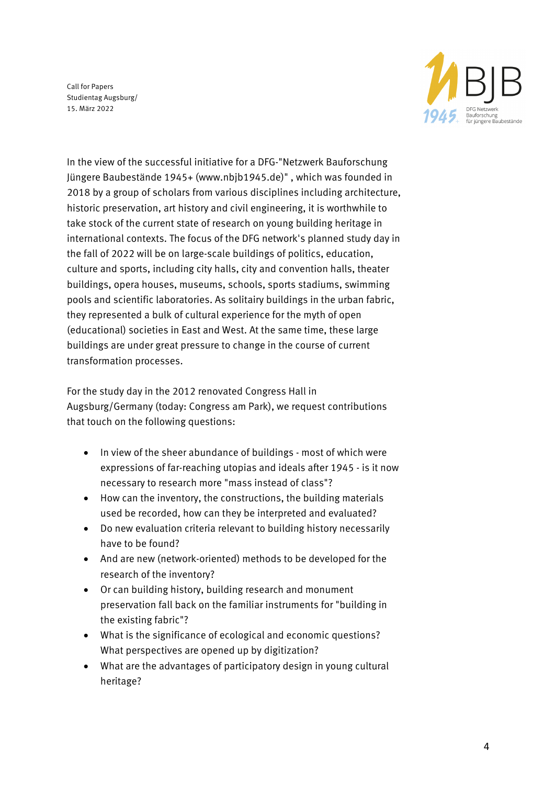

In the view of the successful initiative for a DFG-"Netzwerk Bauforschung Jüngere Baubestände 1945+ (www.nbjb1945.de)" , which was founded in 2018 by a group of scholars from various disciplines including architecture, historic preservation, art history and civil engineering, it is worthwhile to take stock of the current state of research on young building heritage in international contexts. The focus of the DFG network's planned study day in the fall of 2022 will be on large-scale buildings of politics, education, culture and sports, including city halls, city and convention halls, theater buildings, opera houses, museums, schools, sports stadiums, swimming pools and scientific laboratories. As solitairy buildings in the urban fabric, they represented a bulk of cultural experience for the myth of open (educational) societies in East and West. At the same time, these large buildings are under great pressure to change in the course of current transformation processes.

For the study day in the 2012 renovated Congress Hall in Augsburg/Germany (today: Congress am Park), we request contributions that touch on the following questions:

- In view of the sheer abundance of buildings most of which were expressions of far-reaching utopias and ideals after 1945 - is it now necessary to research more "mass instead of class"?
- How can the inventory, the constructions, the building materials used be recorded, how can they be interpreted and evaluated?
- Do new evaluation criteria relevant to building history necessarily have to be found?
- And are new (network-oriented) methods to be developed for the research of the inventory?
- Or can building history, building research and monument preservation fall back on the familiar instruments for "building in the existing fabric"?
- What is the significance of ecological and economic questions? What perspectives are opened up by digitization?
- What are the advantages of participatory design in young cultural heritage?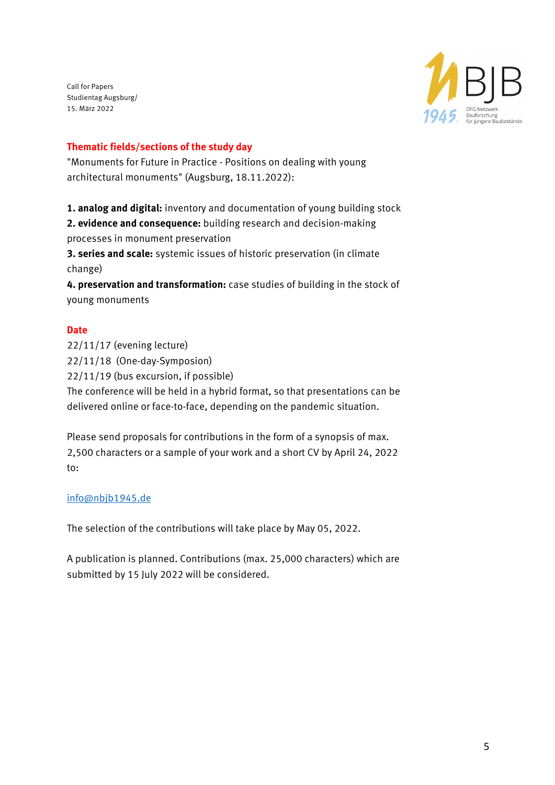

#### **Thematic fields/sections of the study day**

"Monuments for Future in Practice - Positions on dealing with young architectural monuments" (Augsburg, 18.11.2022):

**1. analog and digital:** inventory and documentation of young building stock

**2. evidence and consequence:** building research and decision-making processes in monument preservation

**3. series and scale:** systemic issues of historic preservation (in climate change)

**4. preservation and transformation:** case studies of building in the stock of young monuments

#### **Date**

22/11/17 (evening lecture) 22/11/18 (One-day-Symposion) 22/11/19 (bus excursion, if possible) The conference will be held in a hybrid format, so that presentations can be delivered online or face-to-face, depending on the pandemic situation.

Please send proposals for contributions in the form of a synopsis of max. 2,500 characters or a sample of your work and a short CV by April 24, 2022 to:

#### info@nbjb1945.de

The selection of the contributions will take place by May 05, 2022.

A publication is planned. Contributions (max. 25,000 characters) which are submitted by 15 July 2022 will be considered.